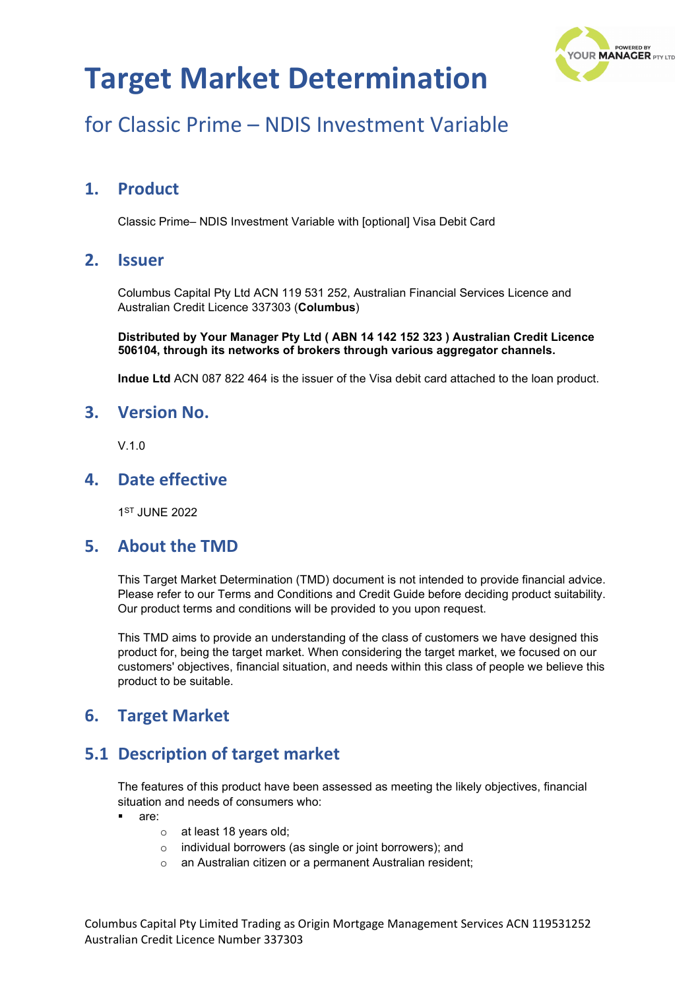

# for Classic Prime – NDIS Investment Variable

### **1. Product**

Classic Prime– NDIS Investment Variable with [optional] Visa Debit Card

### **2. Issuer**

Columbus Capital Pty Ltd ACN 119 531 252, Australian Financial Services Licence and Australian Credit Licence 337303 (**Columbus**)

**Distributed by Your Manager Pty Ltd ( ABN 14 142 152 323 ) Australian Credit Licence 506104, through its networks of brokers through various aggregator channels.**

**Indue Ltd** ACN 087 822 464 is the issuer of the Visa debit card attached to the loan product.

#### **3. Version No.**

 $V<sub>10</sub>$ 

### **4. Date effective**

1ST JUNE 2022

#### **5. About the TMD**

This Target Market Determination (TMD) document is not intended to provide financial advice. Please refer to our Terms and Conditions and Credit Guide before deciding product suitability. Our product terms and conditions will be provided to you upon request.

This TMD aims to provide an understanding of the class of customers we have designed this product for, being the target market. When considering the target market, we focused on our customers' objectives, financial situation, and needs within this class of people we believe this product to be suitable.

### **6. Target Market**

### **5.1 Description of target market**

The features of this product have been assessed as meeting the likely objectives, financial situation and needs of consumers who:

- are:
	- o at least 18 years old;
	- o individual borrowers (as single or joint borrowers); and
	- o an Australian citizen or a permanent Australian resident;

Columbus Capital Pty Limited Trading as Origin Mortgage Management Services ACN 119531252 Australian Credit Licence Number 337303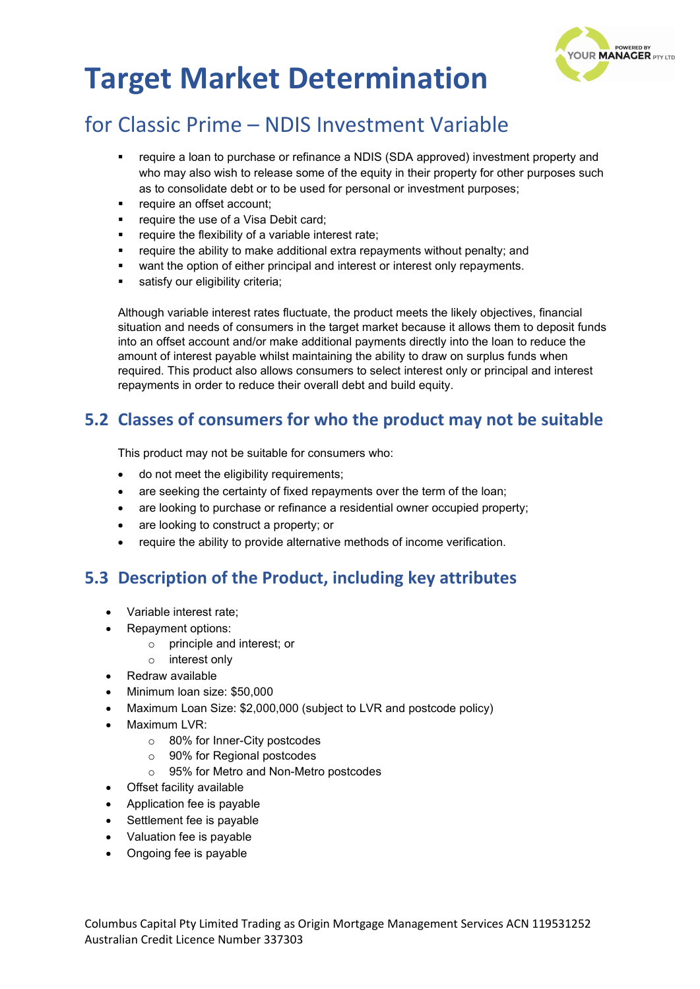

## for Classic Prime – NDIS Investment Variable

- require a loan to purchase or refinance a NDIS (SDA approved) investment property and who may also wish to release some of the equity in their property for other purposes such as to consolidate debt or to be used for personal or investment purposes;
- require an offset account;
- require the use of a Visa Debit card;
- require the flexibility of a variable interest rate;
- require the ability to make additional extra repayments without penalty; and
- want the option of either principal and interest or interest only repayments.
- satisfy our eligibility criteria:

Although variable interest rates fluctuate, the product meets the likely objectives, financial situation and needs of consumers in the target market because it allows them to deposit funds into an offset account and/or make additional payments directly into the loan to reduce the amount of interest payable whilst maintaining the ability to draw on surplus funds when required. This product also allows consumers to select interest only or principal and interest repayments in order to reduce their overall debt and build equity.

### **5.2 Classes of consumers for who the product may not be suitable**

This product may not be suitable for consumers who:

- do not meet the eligibility requirements;
- are seeking the certainty of fixed repayments over the term of the loan;
- are looking to purchase or refinance a residential owner occupied property;
- are looking to construct a property; or
- require the ability to provide alternative methods of income verification.

### **5.3 Description of the Product, including key attributes**

- Variable interest rate;
- Repayment options:
	- o principle and interest; or
	- o interest only
- Redraw available
- Minimum loan size: \$50,000
- Maximum Loan Size: \$2,000,000 (subject to LVR and postcode policy)
- Maximum LVR:
	- o 80% for Inner-City postcodes
	- o 90% for Regional postcodes
	- o 95% for Metro and Non-Metro postcodes
- Offset facility available
- Application fee is payable
- Settlement fee is payable
- Valuation fee is payable
- Ongoing fee is payable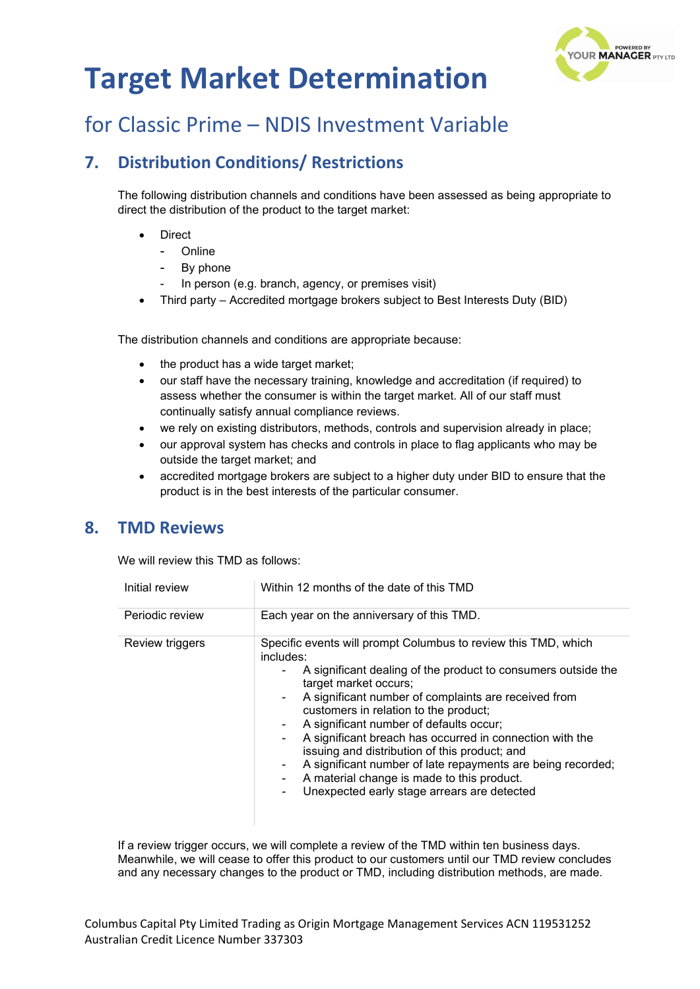

# for Classic Prime – NDIS Investment Variable

## **7. Distribution Conditions/ Restrictions**

The following distribution channels and conditions have been assessed as being appropriate to direct the distribution of the product to the target market:

- **Direct** 
	- **Online**
	- By phone
	- In person (e.g. branch, agency, or premises visit)
- Third party Accredited mortgage brokers subject to Best Interests Duty (BID)

The distribution channels and conditions are appropriate because:

- the product has a wide target market;
- our staff have the necessary training, knowledge and accreditation (if required) to assess whether the consumer is within the target market. All of our staff must continually satisfy annual compliance reviews.
- we rely on existing distributors, methods, controls and supervision already in place;
- our approval system has checks and controls in place to flag applicants who may be outside the target market; and
- accredited mortgage brokers are subject to a higher duty under BID to ensure that the product is in the best interests of the particular consumer.

#### **8. TMD Reviews**

We will review this TMD as follows:

| Initial review  | Within 12 months of the date of this TMD                                                                                                                                                                                                                                                                                                                                                                                                                                                                                                                                                                                                |
|-----------------|-----------------------------------------------------------------------------------------------------------------------------------------------------------------------------------------------------------------------------------------------------------------------------------------------------------------------------------------------------------------------------------------------------------------------------------------------------------------------------------------------------------------------------------------------------------------------------------------------------------------------------------------|
| Periodic review | Each year on the anniversary of this TMD.                                                                                                                                                                                                                                                                                                                                                                                                                                                                                                                                                                                               |
| Review triggers | Specific events will prompt Columbus to review this TMD, which<br>includes:<br>A significant dealing of the product to consumers outside the<br>۰.<br>target market occurs;<br>A significant number of complaints are received from<br>$\sim$<br>customers in relation to the product;<br>A significant number of defaults occur;<br>۰<br>A significant breach has occurred in connection with the<br>$\blacksquare$<br>issuing and distribution of this product; and<br>A significant number of late repayments are being recorded;<br>A material change is made to this product.<br>Unexpected early stage arrears are detected<br>۰. |

If a review trigger occurs, we will complete a review of the TMD within ten business days. Meanwhile, we will cease to offer this product to our customers until our TMD review concludes and any necessary changes to the product or TMD, including distribution methods, are made.